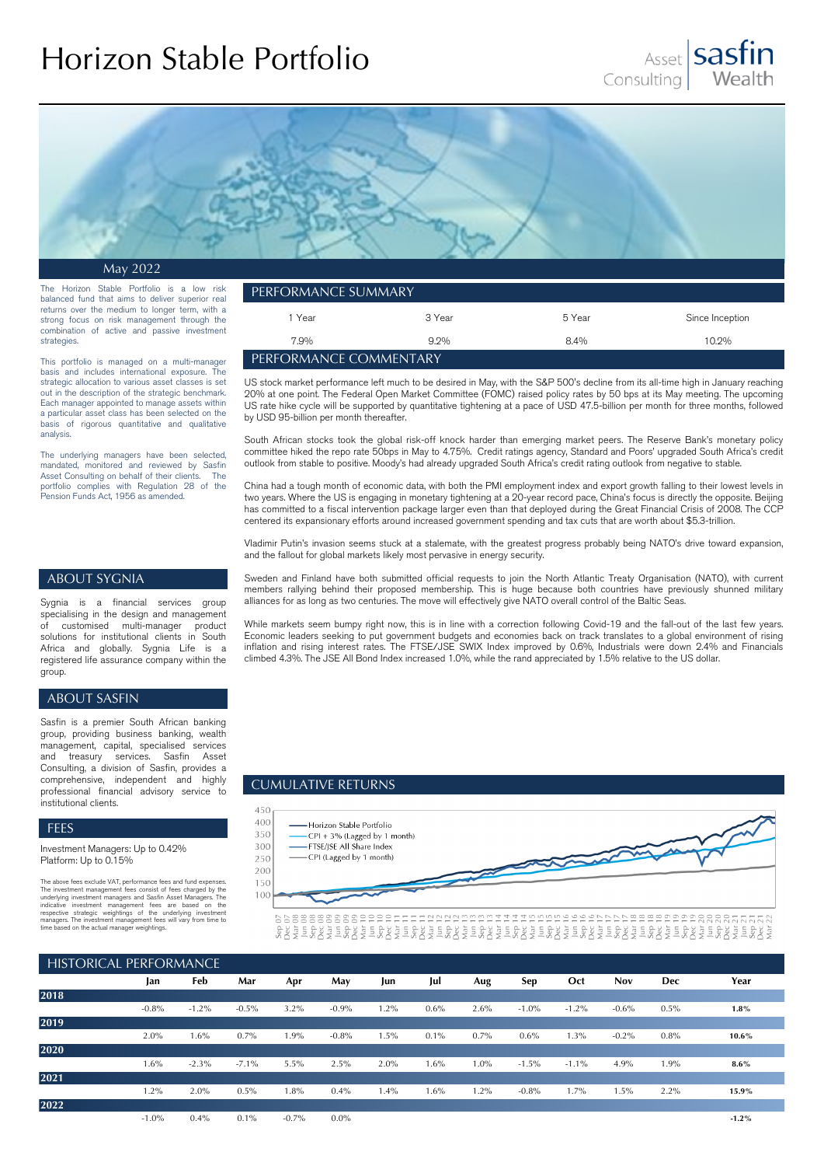# Horizon Stable Portfolio





May 2022

The Horizon Stable Portfolio is a low risk balanced fund that aims to deliver superior real returns over the medium to longer term, with a strong focus on risk management through the combination of active and passive investment strategies.

This portfolio is managed on a multi-manager basis and includes international exposure. The strategic allocation to various asset classes is set out in the description of the strategic benchmark. Each manager appointed to manage assets within a particular asset class has been selected on the basis of rigorous quantitative and qualitative analysis.

The underlying managers have been selected, mandated, monitored and reviewed by Sasfin Asset Consulting on behalf of their clients. The portfolio complies with Regulation 28 of the Pension Funds Act, 1956 as amended.

| ' PERFORMANCE SUMMARY. |         |        |                 |  |  |  |  |
|------------------------|---------|--------|-----------------|--|--|--|--|
| 1 Year                 | 3 Year  | 5 Year | Since Inception |  |  |  |  |
| 7.9%                   | $9.2\%$ | 8.4%   | 10.2%           |  |  |  |  |
| PERFORMANCE COMMENTARY |         |        |                 |  |  |  |  |

US stock market performance left much to be desired in May, with the S&P 500's decline from its all-time high in January reaching 20% at one point. The Federal Open Market Committee (FOMC) raised policy rates by 50 bps at its May meeting. The upcoming US rate hike cycle will be supported by quantitative tightening at a pace of USD 47.5-billion per month for three months, followed by USD 95-billion per month thereafter.

South African stocks took the global risk-off knock harder than emerging market peers. The Reserve Bank's monetary policy committee hiked the repo rate 50bps in May to 4.75%. Credit ratings agency, Standard and Poors' upgraded South Africa's credit outlook from stable to positive. Moody's had already upgraded South Africa's credit rating outlook from negative to stable.

China had a tough month of economic data, with both the PMI employment index and export growth falling to their lowest levels in two years. Where the US is engaging in monetary tightening at a 20-year record pace, China's focus is directly the opposite. Beijing has committed to a fiscal intervention package larger even than that deployed during the Great Financial Crisis of 2008. The CCP centered its expansionary efforts around increased government spending and tax cuts that are worth about \$5.3-trillion.

Vladimir Putin's invasion seems stuck at a stalemate, with the greatest progress probably being NATO's drive toward expansion, and the fallout for global markets likely most pervasive in energy security.

## ABOUT SYGNIA

Sygnia is a financial services group specialising in the design and management<br>of customised multi-manager product customised multi-manager product solutions for institutional clients in South Africa and globally. Sygnia Life is a registered life assurance company within the group.

## ABOUT SASFIN

Sasfin is a premier South African banking group, providing business banking, wealth management, capital, specialised services and treasury services. Sasfin Asset Consulting, a division of Sasfin, provides a comprehensive, independent and highly professional financial advisory service to institutional clients.

#### FEES

Investment Managers: Up to 0.42% Platform: Up to 0.15%

The above fees exclude VAT, performance fees and fund expenses.<br>The investment management fees consist of fees charged by the<br>underlying investment management fees consist of fees are based on the<br>underlying investment man

Sweden and Finland have both submitted official requests to join the North Atlantic Treaty Organisation (NATO), with current members rallying behind their proposed membership. This is huge because both countries have previously shunned military alliances for as long as two centuries. The move will effectively give NATO overall control of the Baltic Seas.

While markets seem bumpy right now, this is in line with a correction following Covid-19 and the fall-out of the last few years. Economic leaders seeking to put government budgets and economies back on track translates to a global environment of rising inflation and rising interest rates. The FTSE/JSE SWIX Index improved by 0.6%, Industrials were down 2.4% and Financials climbed 4.3%. The JSE All Bond Index increased 1.0%, while the rand appreciated by 1.5% relative to the US dollar.

### CUMULATIVE RETURNS



 $\cdots$ 

| <b>THOTONICAL FENTONIMATIOL</b> |          |          |          |         |         |         |         |         |          |          |            |            |         |
|---------------------------------|----------|----------|----------|---------|---------|---------|---------|---------|----------|----------|------------|------------|---------|
|                                 | Jan      | Feb      | Mar      | Apr     | May     | Jun     | Jul     | Aug     | Sep      | Oct      | <b>Nov</b> | <b>Dec</b> | Year    |
| 2018                            |          |          |          |         |         |         |         |         |          |          |            |            |         |
|                                 | $-0.8%$  | $-1.2\%$ | $-0.5\%$ | $3.2\%$ | $-0.9%$ | $1.2\%$ | 0.6%    | 2.6%    | $-1.0\%$ | $-1.2\%$ | $-0.6%$    | 0.5%       | $1.8\%$ |
| 2019                            |          |          |          |         |         |         |         |         |          |          |            |            |         |
|                                 | 2.0%     | 1.6%     | $0.7\%$  | 1.9%    | $-0.8%$ | 1.5%    | $0.1\%$ | $0.7\%$ | 0.6%     | 1.3%     | $-0.2\%$   | 0.8%       | 10.6%   |
| 2020                            |          |          |          |         |         |         |         |         |          |          |            |            |         |
|                                 | 1.6%     | $-2.3%$  | $-7.1\%$ | 5.5%    | 2.5%    | $2.0\%$ | 1.6%    | 1.0%    | $-1.5\%$ | $-1.1\%$ | 4.9%       | 1.9%       | $8.6\%$ |
| 2021                            |          |          |          |         |         |         |         |         |          |          |            |            |         |
|                                 | 1.2%     | 2.0%     | $0.5\%$  | 1.8%    | $0.4\%$ | 1.4%    | 1.6%    | 1.2%    | $-0.8\%$ | 1.7%     | 1.5%       | $2.2\%$    | 15.9%   |
| 2022                            |          |          |          |         |         |         |         |         |          |          |            |            |         |
|                                 | $-1.0\%$ | $0.4\%$  | $0.1\%$  | $-0.7%$ | $0.0\%$ |         |         |         |          |          |            |            | $-1.2%$ |